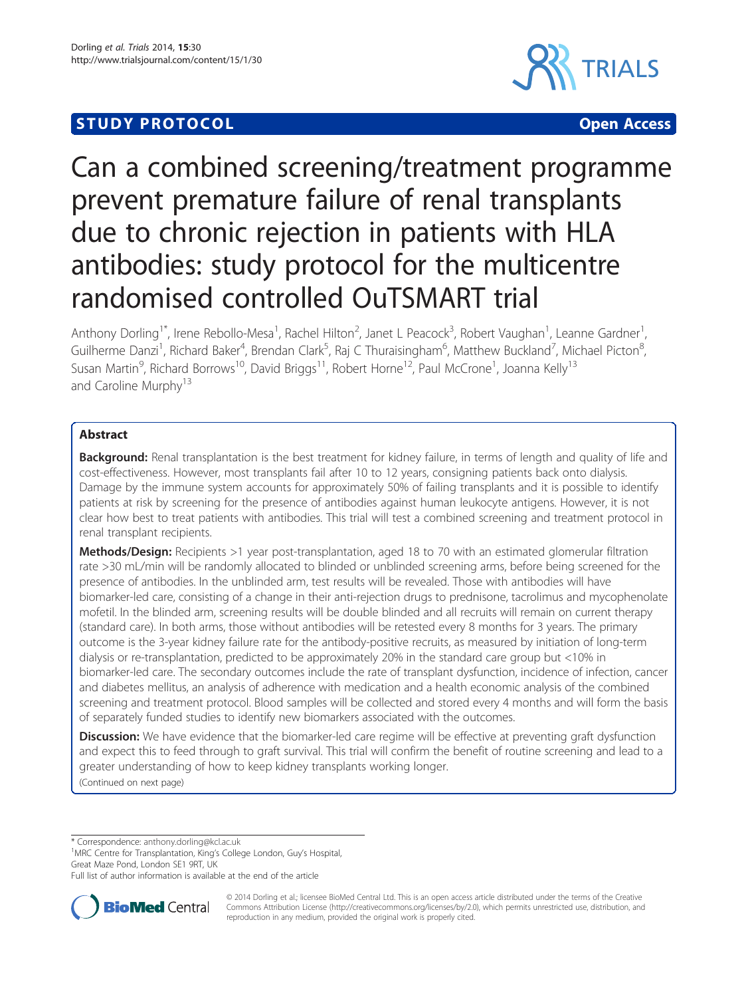## **STUDY PROTOCOL CONSUMING THE CONSUMING OPEN ACCESS**



# Can a combined screening/treatment programme prevent premature failure of renal transplants due to chronic rejection in patients with HLA antibodies: study protocol for the multicentre randomised controlled OuTSMART trial

Anthony Dorling<sup>1\*</sup>, Irene Rebollo-Mesa<sup>1</sup>, Rachel Hilton<sup>2</sup>, Janet L Peacock<sup>3</sup>, Robert Vaughan<sup>1</sup>, Leanne Gardner<sup>1</sup> , Guilherme Danzi<sup>1</sup>, Richard Baker<sup>4</sup>, Brendan Clark<sup>5</sup>, Raj C Thuraisingham<sup>6</sup>, Matthew Buckland<sup>7</sup>, Michael Picton<sup>8</sup> , Susan Martin<sup>9</sup>, Richard Borrows<sup>10</sup>, David Briggs<sup>11</sup>, Robert Horne<sup>12</sup>, Paul McCrone<sup>1</sup>, Joanna Kelly<sup>13</sup> and Caroline Murphy<sup>13</sup>

## Abstract

Background: Renal transplantation is the best treatment for kidney failure, in terms of length and quality of life and cost-effectiveness. However, most transplants fail after 10 to 12 years, consigning patients back onto dialysis. Damage by the immune system accounts for approximately 50% of failing transplants and it is possible to identify patients at risk by screening for the presence of antibodies against human leukocyte antigens. However, it is not clear how best to treat patients with antibodies. This trial will test a combined screening and treatment protocol in renal transplant recipients.

Methods/Design: Recipients >1 year post-transplantation, aged 18 to 70 with an estimated glomerular filtration rate >30 mL/min will be randomly allocated to blinded or unblinded screening arms, before being screened for the presence of antibodies. In the unblinded arm, test results will be revealed. Those with antibodies will have biomarker-led care, consisting of a change in their anti-rejection drugs to prednisone, tacrolimus and mycophenolate mofetil. In the blinded arm, screening results will be double blinded and all recruits will remain on current therapy (standard care). In both arms, those without antibodies will be retested every 8 months for 3 years. The primary outcome is the 3-year kidney failure rate for the antibody-positive recruits, as measured by initiation of long-term dialysis or re-transplantation, predicted to be approximately 20% in the standard care group but <10% in biomarker-led care. The secondary outcomes include the rate of transplant dysfunction, incidence of infection, cancer and diabetes mellitus, an analysis of adherence with medication and a health economic analysis of the combined screening and treatment protocol. Blood samples will be collected and stored every 4 months and will form the basis of separately funded studies to identify new biomarkers associated with the outcomes.

**Discussion:** We have evidence that the biomarker-led care regime will be effective at preventing graft dysfunction and expect this to feed through to graft survival. This trial will confirm the benefit of routine screening and lead to a greater understanding of how to keep kidney transplants working longer. (Continued on next page)

\* Correspondence: [anthony.dorling@kcl.ac.uk](mailto:anthony.dorling@kcl.ac.uk) <sup>1</sup>

<sup>1</sup>MRC Centre for Transplantation, King's College London, Guy's Hospital, Great Maze Pond, London SE1 9RT, UK

Full list of author information is available at the end of the article



© 2014 Dorling et al.; licensee BioMed Central Ltd. This is an open access article distributed under the terms of the Creative Commons Attribution License [\(http://creativecommons.org/licenses/by/2.0\)](http://creativecommons.org/licenses/by/2.0), which permits unrestricted use, distribution, and reproduction in any medium, provided the original work is properly cited.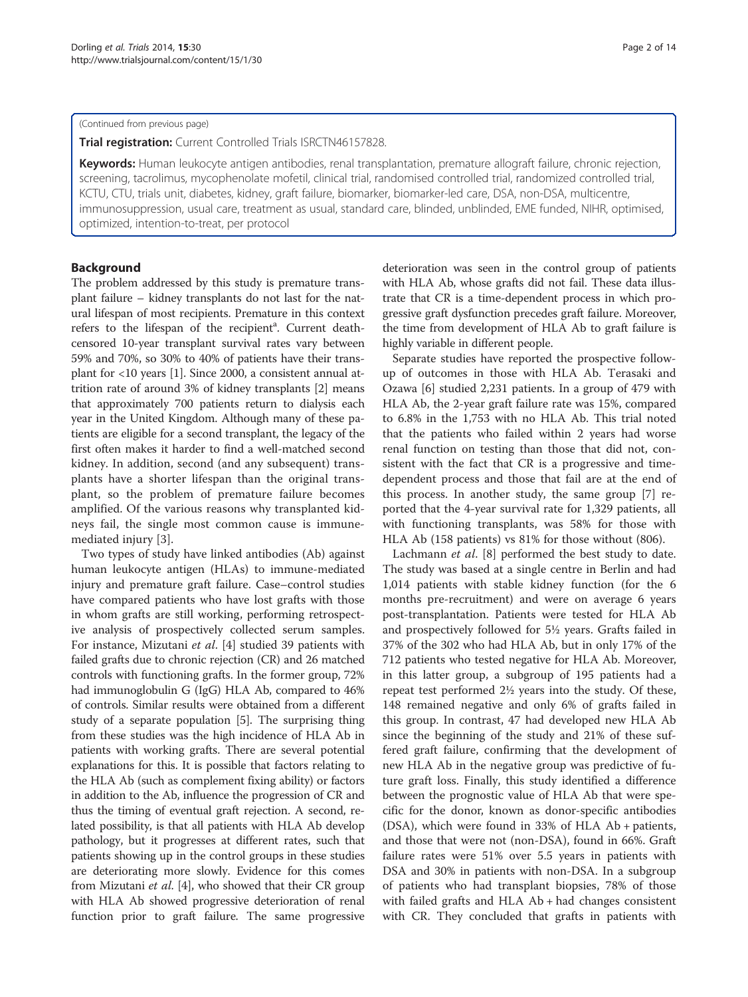#### (Continued from previous page)

Trial registration: Current Controlled Trials [ISRCTN46157828](http://www.controlled-trials.com/ISRCTN46157828).

Keywords: Human leukocyte antigen antibodies, renal transplantation, premature allograft failure, chronic rejection, screening, tacrolimus, mycophenolate mofetil, clinical trial, randomised controlled trial, randomized controlled trial, KCTU, CTU, trials unit, diabetes, kidney, graft failure, biomarker, biomarker-led care, DSA, non-DSA, multicentre, immunosuppression, usual care, treatment as usual, standard care, blinded, unblinded, EME funded, NIHR, optimised, optimized, intention-to-treat, per protocol

#### Background

The problem addressed by this study is premature transplant failure – kidney transplants do not last for the natural lifespan of most recipients. Premature in this context refers to the lifespan of the recipient<sup>a</sup>. Current deathcensored 10-year transplant survival rates vary between 59% and 70%, so 30% to 40% of patients have their transplant for <10 years [\[1](#page-12-0)]. Since 2000, a consistent annual attrition rate of around 3% of kidney transplants [\[2](#page-12-0)] means that approximately 700 patients return to dialysis each year in the United Kingdom. Although many of these patients are eligible for a second transplant, the legacy of the first often makes it harder to find a well-matched second kidney. In addition, second (and any subsequent) transplants have a shorter lifespan than the original transplant, so the problem of premature failure becomes amplified. Of the various reasons why transplanted kidneys fail, the single most common cause is immunemediated injury [[3\]](#page-12-0).

Two types of study have linked antibodies (Ab) against human leukocyte antigen (HLAs) to immune-mediated injury and premature graft failure. Case–control studies have compared patients who have lost grafts with those in whom grafts are still working, performing retrospective analysis of prospectively collected serum samples. For instance, Mizutani et al. [[4\]](#page-12-0) studied 39 patients with failed grafts due to chronic rejection (CR) and 26 matched controls with functioning grafts. In the former group, 72% had immunoglobulin G (IgG) HLA Ab, compared to 46% of controls. Similar results were obtained from a different study of a separate population [\[5\]](#page-13-0). The surprising thing from these studies was the high incidence of HLA Ab in patients with working grafts. There are several potential explanations for this. It is possible that factors relating to the HLA Ab (such as complement fixing ability) or factors in addition to the Ab, influence the progression of CR and thus the timing of eventual graft rejection. A second, related possibility, is that all patients with HLA Ab develop pathology, but it progresses at different rates, such that patients showing up in the control groups in these studies are deteriorating more slowly. Evidence for this comes from Mizutani et al. [[4](#page-12-0)], who showed that their CR group with HLA Ab showed progressive deterioration of renal function prior to graft failure. The same progressive

deterioration was seen in the control group of patients with HLA Ab, whose grafts did not fail. These data illustrate that CR is a time-dependent process in which progressive graft dysfunction precedes graft failure. Moreover, the time from development of HLA Ab to graft failure is highly variable in different people.

Separate studies have reported the prospective followup of outcomes in those with HLA Ab. Terasaki and Ozawa [[6\]](#page-13-0) studied 2,231 patients. In a group of 479 with HLA Ab, the 2-year graft failure rate was 15%, compared to 6.8% in the 1,753 with no HLA Ab. This trial noted that the patients who failed within 2 years had worse renal function on testing than those that did not, consistent with the fact that CR is a progressive and timedependent process and those that fail are at the end of this process. In another study, the same group [\[7](#page-13-0)] reported that the 4-year survival rate for 1,329 patients, all with functioning transplants, was 58% for those with HLA Ab (158 patients) vs 81% for those without (806).

Lachmann *et al.* [\[8](#page-13-0)] performed the best study to date. The study was based at a single centre in Berlin and had 1,014 patients with stable kidney function (for the 6 months pre-recruitment) and were on average 6 years post-transplantation. Patients were tested for HLA Ab and prospectively followed for 5½ years. Grafts failed in 37% of the 302 who had HLA Ab, but in only 17% of the 712 patients who tested negative for HLA Ab. Moreover, in this latter group, a subgroup of 195 patients had a repeat test performed 2½ years into the study. Of these, 148 remained negative and only 6% of grafts failed in this group. In contrast, 47 had developed new HLA Ab since the beginning of the study and 21% of these suffered graft failure, confirming that the development of new HLA Ab in the negative group was predictive of future graft loss. Finally, this study identified a difference between the prognostic value of HLA Ab that were specific for the donor, known as donor-specific antibodies (DSA), which were found in 33% of HLA Ab + patients, and those that were not (non-DSA), found in 66%. Graft failure rates were 51% over 5.5 years in patients with DSA and 30% in patients with non-DSA. In a subgroup of patients who had transplant biopsies, 78% of those with failed grafts and HLA Ab + had changes consistent with CR. They concluded that grafts in patients with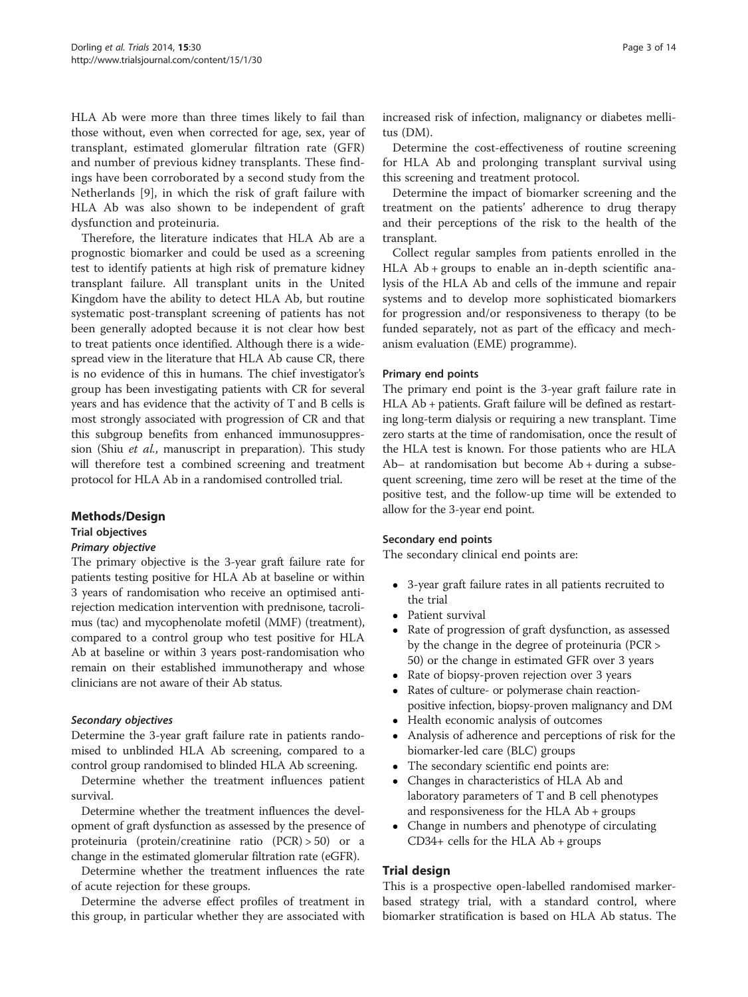HLA Ab were more than three times likely to fail than those without, even when corrected for age, sex, year of transplant, estimated glomerular filtration rate (GFR) and number of previous kidney transplants. These findings have been corroborated by a second study from the Netherlands [[9\]](#page-13-0), in which the risk of graft failure with HLA Ab was also shown to be independent of graft dysfunction and proteinuria.

Therefore, the literature indicates that HLA Ab are a prognostic biomarker and could be used as a screening test to identify patients at high risk of premature kidney transplant failure. All transplant units in the United Kingdom have the ability to detect HLA Ab, but routine systematic post-transplant screening of patients has not been generally adopted because it is not clear how best to treat patients once identified. Although there is a widespread view in the literature that HLA Ab cause CR, there is no evidence of this in humans. The chief investigator's group has been investigating patients with CR for several years and has evidence that the activity of T and B cells is most strongly associated with progression of CR and that this subgroup benefits from enhanced immunosuppression (Shiu et al., manuscript in preparation). This study will therefore test a combined screening and treatment protocol for HLA Ab in a randomised controlled trial.

## Methods/Design

Trial objectives

## Primary objective

The primary objective is the 3-year graft failure rate for patients testing positive for HLA Ab at baseline or within 3 years of randomisation who receive an optimised antirejection medication intervention with prednisone, tacrolimus (tac) and mycophenolate mofetil (MMF) (treatment), compared to a control group who test positive for HLA Ab at baseline or within 3 years post-randomisation who remain on their established immunotherapy and whose clinicians are not aware of their Ab status.

## Secondary objectives

Determine the 3-year graft failure rate in patients randomised to unblinded HLA Ab screening, compared to a control group randomised to blinded HLA Ab screening.

Determine whether the treatment influences patient survival.

Determine whether the treatment influences the development of graft dysfunction as assessed by the presence of proteinuria (protein/creatinine ratio (PCR) > 50) or a change in the estimated glomerular filtration rate (eGFR).

Determine whether the treatment influences the rate of acute rejection for these groups.

Determine the adverse effect profiles of treatment in this group, in particular whether they are associated with increased risk of infection, malignancy or diabetes mellitus (DM).

Determine the cost-effectiveness of routine screening for HLA Ab and prolonging transplant survival using this screening and treatment protocol.

Determine the impact of biomarker screening and the treatment on the patients' adherence to drug therapy and their perceptions of the risk to the health of the transplant.

Collect regular samples from patients enrolled in the HLA Ab + groups to enable an in-depth scientific analysis of the HLA Ab and cells of the immune and repair systems and to develop more sophisticated biomarkers for progression and/or responsiveness to therapy (to be funded separately, not as part of the efficacy and mechanism evaluation (EME) programme).

## Primary end points

The primary end point is the 3-year graft failure rate in HLA Ab + patients. Graft failure will be defined as restarting long-term dialysis or requiring a new transplant. Time zero starts at the time of randomisation, once the result of the HLA test is known. For those patients who are HLA  $Ab-$  at randomisation but become  $Ab +$  during a subsequent screening, time zero will be reset at the time of the positive test, and the follow-up time will be extended to allow for the 3-year end point.

## Secondary end points

The secondary clinical end points are:

- 3-year graft failure rates in all patients recruited to the trial
- Patient survival
- Rate of progression of graft dysfunction, as assessed by the change in the degree of proteinuria (PCR > 50) or the change in estimated GFR over 3 years
- Rate of biopsy-proven rejection over 3 years
- Rates of culture- or polymerase chain reactionpositive infection, biopsy-proven malignancy and DM
- Health economic analysis of outcomes
- Analysis of adherence and perceptions of risk for the biomarker-led care (BLC) groups
- The secondary scientific end points are:
- Changes in characteristics of HLA Ab and laboratory parameters of T and B cell phenotypes and responsiveness for the HLA Ab + groups
- Change in numbers and phenotype of circulating CD34+ cells for the HLA Ab + groups

## Trial design

This is a prospective open-labelled randomised markerbased strategy trial, with a standard control, where biomarker stratification is based on HLA Ab status. The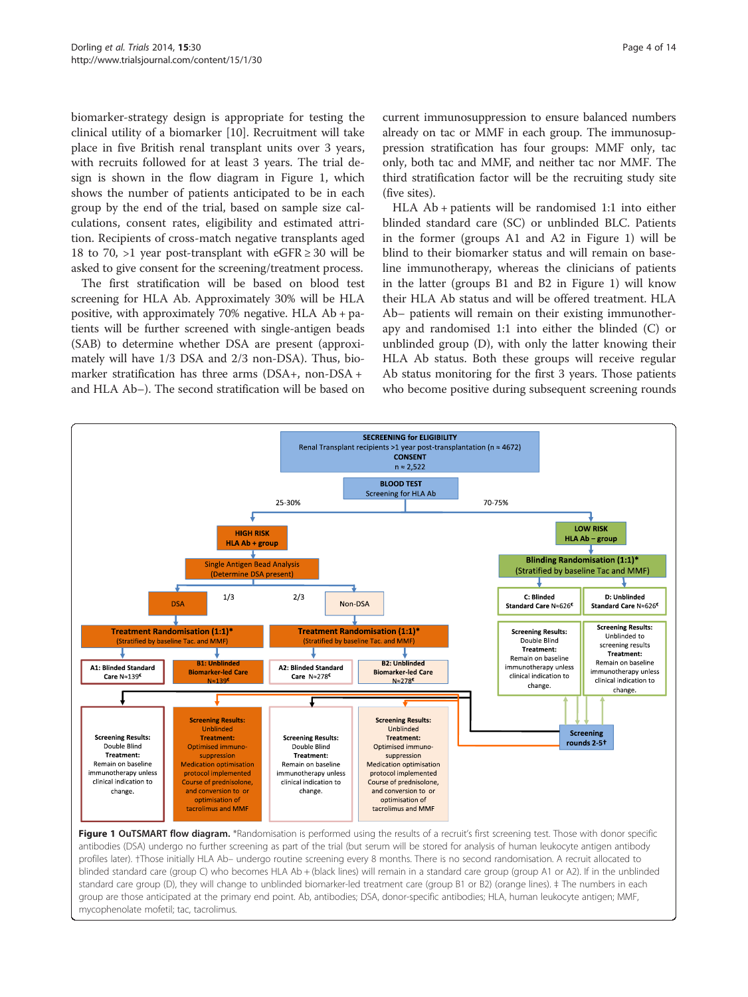<span id="page-3-0"></span>biomarker-strategy design is appropriate for testing the clinical utility of a biomarker [\[10](#page-13-0)]. Recruitment will take place in five British renal transplant units over 3 years, with recruits followed for at least 3 years. The trial design is shown in the flow diagram in Figure 1, which shows the number of patients anticipated to be in each group by the end of the trial, based on sample size calculations, consent rates, eligibility and estimated attrition. Recipients of cross-match negative transplants aged 18 to 70, >1 year post-transplant with eGFR  $\geq$  30 will be asked to give consent for the screening/treatment process.

The first stratification will be based on blood test screening for HLA Ab. Approximately 30% will be HLA positive, with approximately 70% negative. HLA Ab + patients will be further screened with single-antigen beads (SAB) to determine whether DSA are present (approximately will have 1/3 DSA and 2/3 non-DSA). Thus, biomarker stratification has three arms (DSA+, non-DSA + and HLA Ab–). The second stratification will be based on current immunosuppression to ensure balanced numbers already on tac or MMF in each group. The immunosuppression stratification has four groups: MMF only, tac only, both tac and MMF, and neither tac nor MMF. The third stratification factor will be the recruiting study site (five sites).

HLA Ab + patients will be randomised 1:1 into either blinded standard care (SC) or unblinded BLC. Patients in the former (groups A1 and A2 in Figure 1) will be blind to their biomarker status and will remain on baseline immunotherapy, whereas the clinicians of patients in the latter (groups B1 and B2 in Figure 1) will know their HLA Ab status and will be offered treatment. HLA Ab– patients will remain on their existing immunotherapy and randomised 1:1 into either the blinded (C) or unblinded group (D), with only the latter knowing their HLA Ab status. Both these groups will receive regular Ab status monitoring for the first 3 years. Those patients who become positive during subsequent screening rounds



Figure 1 OuTSMART flow diagram. \*Randomisation is performed using the results of a recruit's first screening test. Those with donor specific antibodies (DSA) undergo no further screening as part of the trial (but serum will be stored for analysis of human leukocyte antigen antibody profiles later). †Those initially HLA Ab– undergo routine screening every 8 months. There is no second randomisation. A recruit allocated to blinded standard care (group C) who becomes HLA Ab + (black lines) will remain in a standard care group (group A1 or A2). If in the unblinded standard care group (D), they will change to unblinded biomarker-led treatment care (group B1 or B2) (orange lines). ‡ The numbers in each group are those anticipated at the primary end point. Ab, antibodies; DSA, donor-specific antibodies; HLA, human leukocyte antigen; MMF, mycophenolate mofetil; tac, tacrolimus.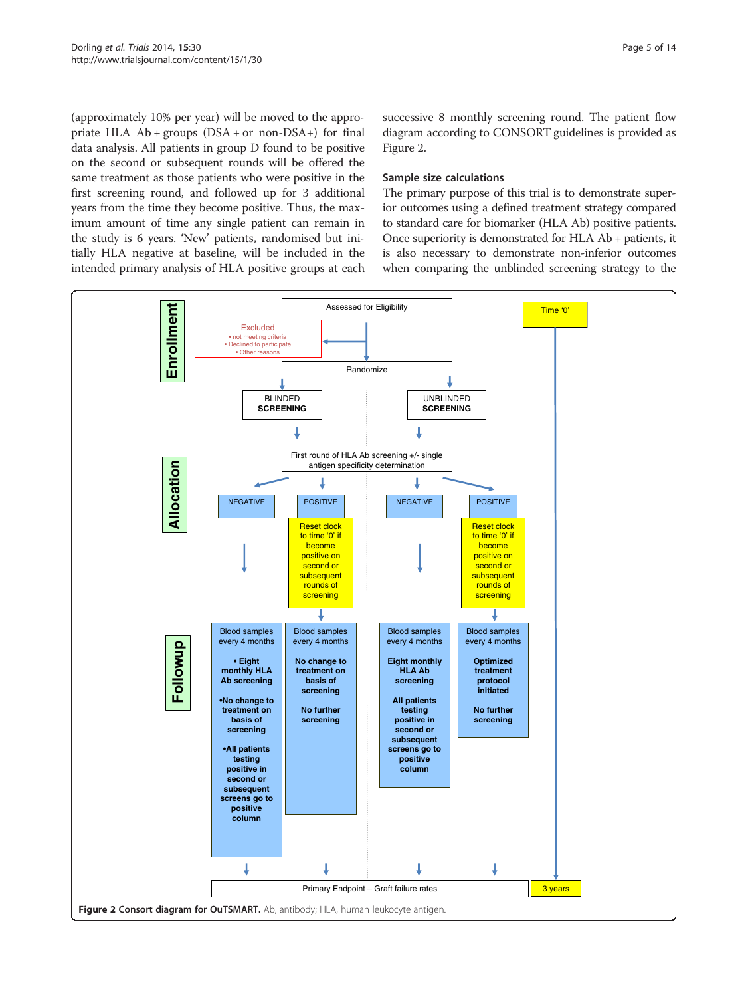(approximately 10% per year) will be moved to the appropriate HLA  $Ab +$  groups (DSA + or non-DSA+) for final data analysis. All patients in group D found to be positive on the second or subsequent rounds will be offered the same treatment as those patients who were positive in the first screening round, and followed up for 3 additional years from the time they become positive. Thus, the maximum amount of time any single patient can remain in the study is 6 years. 'New' patients, randomised but initially HLA negative at baseline, will be included in the intended primary analysis of HLA positive groups at each successive 8 monthly screening round. The patient flow diagram according to CONSORT guidelines is provided as Figure 2.

## Sample size calculations

The primary purpose of this trial is to demonstrate superior outcomes using a defined treatment strategy compared to standard care for biomarker (HLA Ab) positive patients. Once superiority is demonstrated for HLA Ab + patients, it is also necessary to demonstrate non-inferior outcomes when comparing the unblinded screening strategy to the

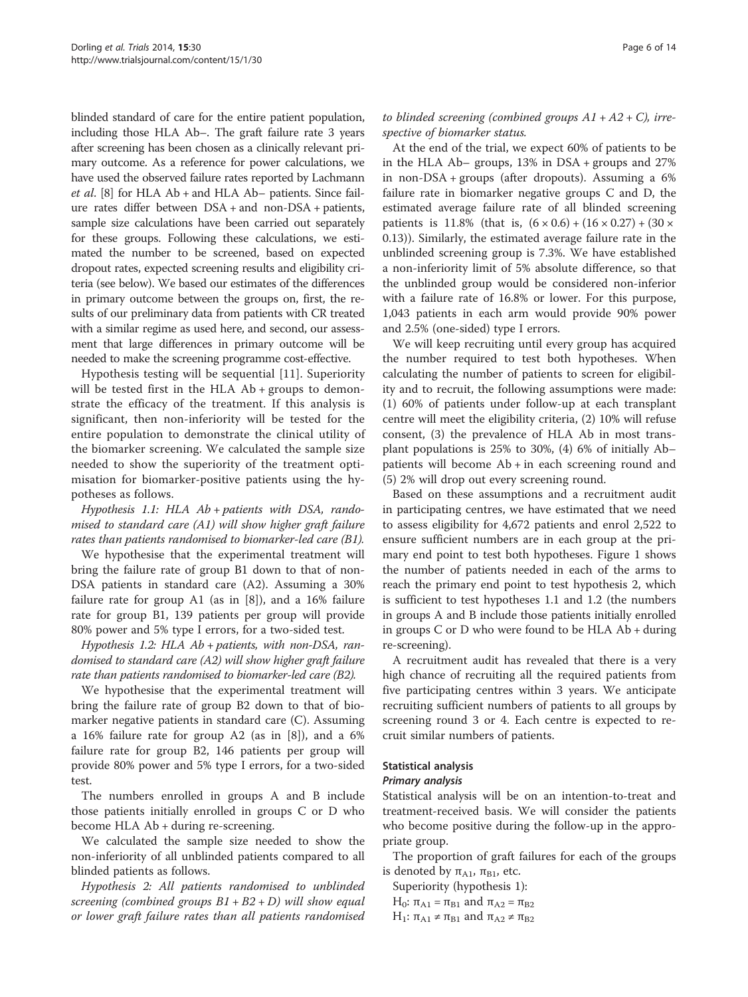blinded standard of care for the entire patient population, including those HLA Ab–. The graft failure rate 3 years after screening has been chosen as a clinically relevant primary outcome. As a reference for power calculations, we have used the observed failure rates reported by Lachmann *et al.* [\[8\]](#page-13-0) for HLA  $Ab$  + and HLA  $Ab$ – patients. Since failure rates differ between DSA + and non-DSA + patients, sample size calculations have been carried out separately for these groups. Following these calculations, we estimated the number to be screened, based on expected dropout rates, expected screening results and eligibility criteria (see below). We based our estimates of the differences in primary outcome between the groups on, first, the results of our preliminary data from patients with CR treated with a similar regime as used here, and second, our assessment that large differences in primary outcome will be needed to make the screening programme cost-effective.

Hypothesis testing will be sequential [[11\]](#page-13-0). Superiority will be tested first in the HLA  $Ab +$  groups to demonstrate the efficacy of the treatment. If this analysis is significant, then non-inferiority will be tested for the entire population to demonstrate the clinical utility of the biomarker screening. We calculated the sample size needed to show the superiority of the treatment optimisation for biomarker-positive patients using the hypotheses as follows.

Hypothesis 1.1: HLA Ab + patients with DSA, randomised to standard care (A1) will show higher graft failure rates than patients randomised to biomarker-led care (B1).

We hypothesise that the experimental treatment will bring the failure rate of group B1 down to that of non-DSA patients in standard care (A2). Assuming a 30% failure rate for group A1 (as in [\[8](#page-13-0)]), and a 16% failure rate for group B1, 139 patients per group will provide 80% power and 5% type I errors, for a two-sided test.

Hypothesis 1.2: HLA Ab + patients, with non-DSA, randomised to standard care (A2) will show higher graft failure rate than patients randomised to biomarker-led care (B2).

We hypothesise that the experimental treatment will bring the failure rate of group B2 down to that of biomarker negative patients in standard care (C). Assuming a 16% failure rate for group A2 (as in [[8\]](#page-13-0)), and a 6% failure rate for group B2, 146 patients per group will provide 80% power and 5% type I errors, for a two-sided test.

The numbers enrolled in groups A and B include those patients initially enrolled in groups C or D who become HLA Ab + during re-screening.

We calculated the sample size needed to show the non-inferiority of all unblinded patients compared to all blinded patients as follows.

Hypothesis 2: All patients randomised to unblinded screening (combined groups  $B1 + B2 + D$ ) will show equal or lower graft failure rates than all patients randomised

to blinded screening (combined groups  $A1 + A2 + C$ ), irrespective of biomarker status.

At the end of the trial, we expect 60% of patients to be in the HLA Ab– groups, 13% in DSA + groups and 27% in non-DSA + groups (after dropouts). Assuming a 6% failure rate in biomarker negative groups C and D, the estimated average failure rate of all blinded screening patients is 11.8% (that is,  $(6 \times 0.6) + (16 \times 0.27) + (30 \times 1.6)$ 0.13)). Similarly, the estimated average failure rate in the unblinded screening group is 7.3%. We have established a non-inferiority limit of 5% absolute difference, so that the unblinded group would be considered non-inferior with a failure rate of 16.8% or lower. For this purpose, 1,043 patients in each arm would provide 90% power and 2.5% (one-sided) type I errors.

We will keep recruiting until every group has acquired the number required to test both hypotheses. When calculating the number of patients to screen for eligibility and to recruit, the following assumptions were made: (1) 60% of patients under follow-up at each transplant centre will meet the eligibility criteria, (2) 10% will refuse consent, (3) the prevalence of HLA Ab in most transplant populations is 25% to 30%, (4) 6% of initially Ab– patients will become Ab + in each screening round and (5) 2% will drop out every screening round.

Based on these assumptions and a recruitment audit in participating centres, we have estimated that we need to assess eligibility for 4,672 patients and enrol 2,522 to ensure sufficient numbers are in each group at the primary end point to test both hypotheses. Figure [1](#page-3-0) shows the number of patients needed in each of the arms to reach the primary end point to test hypothesis 2, which is sufficient to test hypotheses 1.1 and 1.2 (the numbers in groups A and B include those patients initially enrolled in groups  $C$  or  $D$  who were found to be HLA Ab + during re-screening).

A recruitment audit has revealed that there is a very high chance of recruiting all the required patients from five participating centres within 3 years. We anticipate recruiting sufficient numbers of patients to all groups by screening round 3 or 4. Each centre is expected to recruit similar numbers of patients.

## Statistical analysis

## Primary analysis

Statistical analysis will be on an intention-to-treat and treatment-received basis. We will consider the patients who become positive during the follow-up in the appropriate group.

The proportion of graft failures for each of the groups is denoted by  $\pi_{A1}$ ,  $\pi_{B1}$ , etc.

- Superiority (hypothesis 1):  $H_0$ : π<sub>A1</sub> = π<sub>B1</sub> and π<sub>A2</sub> = π<sub>B2</sub>
- $H_1$ :  $\pi_{A1} \neq \pi_{B1}$  and  $\pi_{A2} \neq \pi_{B2}$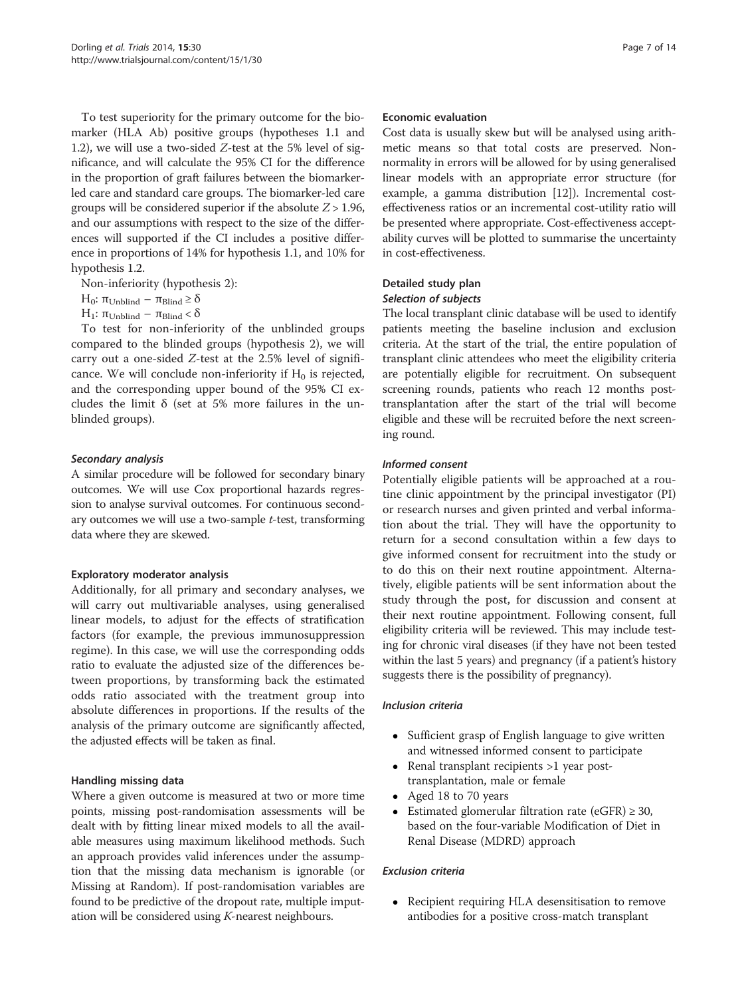To test superiority for the primary outcome for the biomarker (HLA Ab) positive groups (hypotheses 1.1 and 1.2), we will use a two-sided Z-test at the 5% level of significance, and will calculate the 95% CI for the difference in the proportion of graft failures between the biomarkerled care and standard care groups. The biomarker-led care groups will be considered superior if the absolute  $Z > 1.96$ , and our assumptions with respect to the size of the differences will supported if the CI includes a positive difference in proportions of 14% for hypothesis 1.1, and 10% for hypothesis 1.2.

Non-inferiority (hypothesis 2):

 $H_0$ : π<sub>Unblind</sub> – π<sub>Blind</sub>  $\geq \delta$ 

 $H_1$ : π<sub>Unblind</sub> – π<sub>Blind</sub> < δ

To test for non-inferiority of the unblinded groups compared to the blinded groups (hypothesis 2), we will carry out a one-sided Z-test at the 2.5% level of significance. We will conclude non-inferiority if  $H_0$  is rejected, and the corresponding upper bound of the 95% CI excludes the limit δ (set at 5% more failures in the unblinded groups).

## Secondary analysis

A similar procedure will be followed for secondary binary outcomes. We will use Cox proportional hazards regression to analyse survival outcomes. For continuous secondary outcomes we will use a two-sample t-test, transforming data where they are skewed.

#### Exploratory moderator analysis

Additionally, for all primary and secondary analyses, we will carry out multivariable analyses, using generalised linear models, to adjust for the effects of stratification factors (for example, the previous immunosuppression regime). In this case, we will use the corresponding odds ratio to evaluate the adjusted size of the differences between proportions, by transforming back the estimated odds ratio associated with the treatment group into absolute differences in proportions. If the results of the analysis of the primary outcome are significantly affected, the adjusted effects will be taken as final.

## Handling missing data

Where a given outcome is measured at two or more time points, missing post-randomisation assessments will be dealt with by fitting linear mixed models to all the available measures using maximum likelihood methods. Such an approach provides valid inferences under the assumption that the missing data mechanism is ignorable (or Missing at Random). If post-randomisation variables are found to be predictive of the dropout rate, multiple imputation will be considered using K-nearest neighbours.

#### Economic evaluation

Cost data is usually skew but will be analysed using arithmetic means so that total costs are preserved. Nonnormality in errors will be allowed for by using generalised linear models with an appropriate error structure (for example, a gamma distribution [\[12\]](#page-13-0)). Incremental costeffectiveness ratios or an incremental cost-utility ratio will be presented where appropriate. Cost-effectiveness acceptability curves will be plotted to summarise the uncertainty in cost-effectiveness.

#### Detailed study plan Selection of subjects

The local transplant clinic database will be used to identify patients meeting the baseline inclusion and exclusion criteria. At the start of the trial, the entire population of transplant clinic attendees who meet the eligibility criteria are potentially eligible for recruitment. On subsequent screening rounds, patients who reach 12 months posttransplantation after the start of the trial will become eligible and these will be recruited before the next screening round.

#### Informed consent

Potentially eligible patients will be approached at a routine clinic appointment by the principal investigator (PI) or research nurses and given printed and verbal information about the trial. They will have the opportunity to return for a second consultation within a few days to give informed consent for recruitment into the study or to do this on their next routine appointment. Alternatively, eligible patients will be sent information about the study through the post, for discussion and consent at their next routine appointment. Following consent, full eligibility criteria will be reviewed. This may include testing for chronic viral diseases (if they have not been tested within the last 5 years) and pregnancy (if a patient's history suggests there is the possibility of pregnancy).

#### Inclusion criteria

- Sufficient grasp of English language to give written and witnessed informed consent to participate
- Renal transplant recipients >1 year posttransplantation, male or female
- Aged 18 to 70 years
- Estimated glomerular filtration rate (eGFR)  $≥ 30$ , based on the four-variable Modification of Diet in Renal Disease (MDRD) approach

## Exclusion criteria

• Recipient requiring HLA desensitisation to remove antibodies for a positive cross-match transplant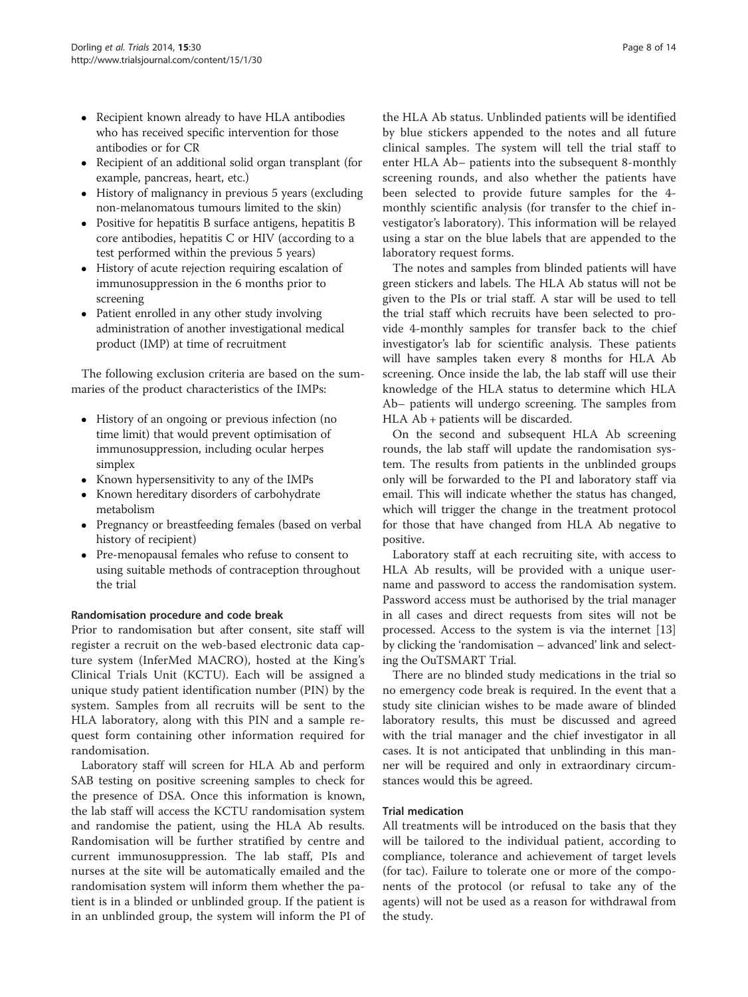- Recipient known already to have HLA antibodies who has received specific intervention for those antibodies or for CR
- Recipient of an additional solid organ transplant (for example, pancreas, heart, etc.)
- History of malignancy in previous 5 years (excluding non-melanomatous tumours limited to the skin)
- Positive for hepatitis B surface antigens, hepatitis B core antibodies, hepatitis C or HIV (according to a test performed within the previous 5 years)
- History of acute rejection requiring escalation of immunosuppression in the 6 months prior to screening
- Patient enrolled in any other study involving administration of another investigational medical product (IMP) at time of recruitment

The following exclusion criteria are based on the summaries of the product characteristics of the IMPs:

- History of an ongoing or previous infection (no time limit) that would prevent optimisation of immunosuppression, including ocular herpes simplex
- Known hypersensitivity to any of the IMPs
- Known hereditary disorders of carbohydrate metabolism
- Pregnancy or breastfeeding females (based on verbal history of recipient)
- Pre-menopausal females who refuse to consent to using suitable methods of contraception throughout the trial

## Randomisation procedure and code break

Prior to randomisation but after consent, site staff will register a recruit on the web-based electronic data capture system (InferMed MACRO), hosted at the King's Clinical Trials Unit (KCTU). Each will be assigned a unique study patient identification number (PIN) by the system. Samples from all recruits will be sent to the HLA laboratory, along with this PIN and a sample request form containing other information required for randomisation.

Laboratory staff will screen for HLA Ab and perform SAB testing on positive screening samples to check for the presence of DSA. Once this information is known, the lab staff will access the KCTU randomisation system and randomise the patient, using the HLA Ab results. Randomisation will be further stratified by centre and current immunosuppression. The lab staff, PIs and nurses at the site will be automatically emailed and the randomisation system will inform them whether the patient is in a blinded or unblinded group. If the patient is in an unblinded group, the system will inform the PI of

the HLA Ab status. Unblinded patients will be identified by blue stickers appended to the notes and all future clinical samples. The system will tell the trial staff to enter HLA Ab– patients into the subsequent 8-monthly screening rounds, and also whether the patients have been selected to provide future samples for the 4 monthly scientific analysis (for transfer to the chief investigator's laboratory). This information will be relayed using a star on the blue labels that are appended to the laboratory request forms.

The notes and samples from blinded patients will have green stickers and labels. The HLA Ab status will not be given to the PIs or trial staff. A star will be used to tell the trial staff which recruits have been selected to provide 4-monthly samples for transfer back to the chief investigator's lab for scientific analysis. These patients will have samples taken every 8 months for HLA Ab screening. Once inside the lab, the lab staff will use their knowledge of the HLA status to determine which HLA Ab– patients will undergo screening. The samples from HLA Ab + patients will be discarded.

On the second and subsequent HLA Ab screening rounds, the lab staff will update the randomisation system. The results from patients in the unblinded groups only will be forwarded to the PI and laboratory staff via email. This will indicate whether the status has changed, which will trigger the change in the treatment protocol for those that have changed from HLA Ab negative to positive.

Laboratory staff at each recruiting site, with access to HLA Ab results, will be provided with a unique username and password to access the randomisation system. Password access must be authorised by the trial manager in all cases and direct requests from sites will not be processed. Access to the system is via the internet [[13](#page-13-0)] by clicking the 'randomisation – advanced' link and selecting the OuTSMART Trial.

There are no blinded study medications in the trial so no emergency code break is required. In the event that a study site clinician wishes to be made aware of blinded laboratory results, this must be discussed and agreed with the trial manager and the chief investigator in all cases. It is not anticipated that unblinding in this manner will be required and only in extraordinary circumstances would this be agreed.

#### Trial medication

All treatments will be introduced on the basis that they will be tailored to the individual patient, according to compliance, tolerance and achievement of target levels (for tac). Failure to tolerate one or more of the components of the protocol (or refusal to take any of the agents) will not be used as a reason for withdrawal from the study.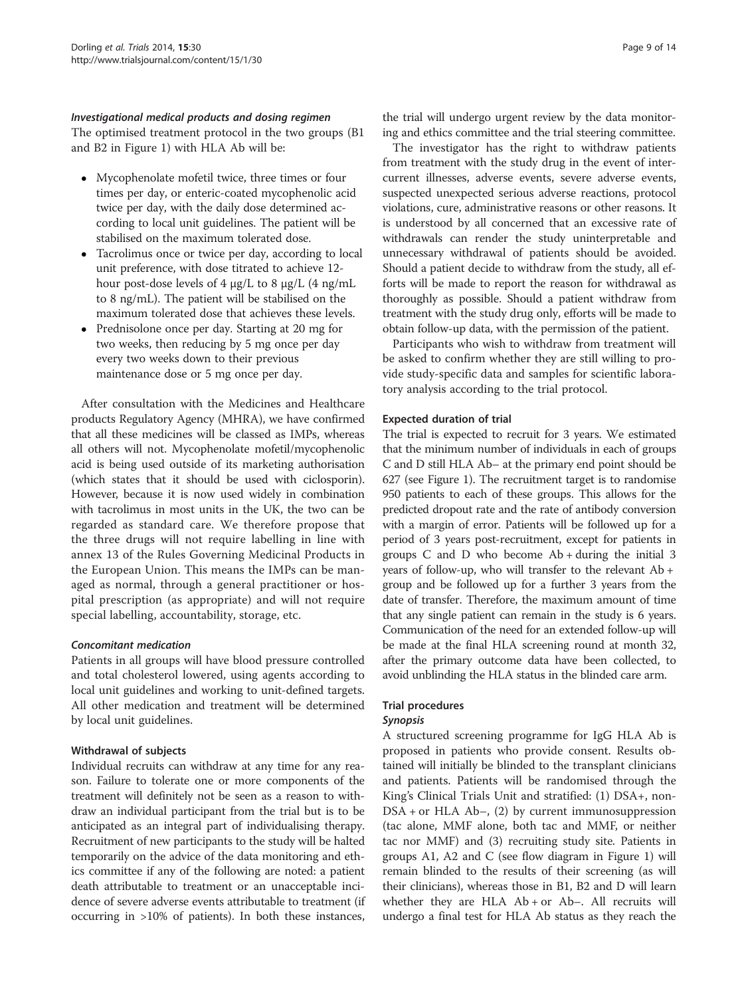#### Investigational medical products and dosing regimen

The optimised treatment protocol in the two groups (B1 and B2 in Figure [1\)](#page-3-0) with HLA Ab will be:

- Mycophenolate mofetil twice, three times or four times per day, or enteric-coated mycophenolic acid twice per day, with the daily dose determined according to local unit guidelines. The patient will be stabilised on the maximum tolerated dose.
- Tacrolimus once or twice per day, according to local unit preference, with dose titrated to achieve 12 hour post-dose levels of 4 μg/L to 8 μg/L (4 ng/mL to 8 ng/mL). The patient will be stabilised on the maximum tolerated dose that achieves these levels.
- Prednisolone once per day. Starting at 20 mg for two weeks, then reducing by 5 mg once per day every two weeks down to their previous maintenance dose or 5 mg once per day.

After consultation with the Medicines and Healthcare products Regulatory Agency (MHRA), we have confirmed that all these medicines will be classed as IMPs, whereas all others will not. Mycophenolate mofetil/mycophenolic acid is being used outside of its marketing authorisation (which states that it should be used with ciclosporin). However, because it is now used widely in combination with tacrolimus in most units in the UK, the two can be regarded as standard care. We therefore propose that the three drugs will not require labelling in line with annex 13 of the Rules Governing Medicinal Products in the European Union. This means the IMPs can be managed as normal, through a general practitioner or hospital prescription (as appropriate) and will not require special labelling, accountability, storage, etc.

## Concomitant medication

Patients in all groups will have blood pressure controlled and total cholesterol lowered, using agents according to local unit guidelines and working to unit-defined targets. All other medication and treatment will be determined by local unit guidelines.

## Withdrawal of subjects

Individual recruits can withdraw at any time for any reason. Failure to tolerate one or more components of the treatment will definitely not be seen as a reason to withdraw an individual participant from the trial but is to be anticipated as an integral part of individualising therapy. Recruitment of new participants to the study will be halted temporarily on the advice of the data monitoring and ethics committee if any of the following are noted: a patient death attributable to treatment or an unacceptable incidence of severe adverse events attributable to treatment (if occurring in >10% of patients). In both these instances,

the trial will undergo urgent review by the data monitoring and ethics committee and the trial steering committee.

The investigator has the right to withdraw patients from treatment with the study drug in the event of intercurrent illnesses, adverse events, severe adverse events, suspected unexpected serious adverse reactions, protocol violations, cure, administrative reasons or other reasons. It is understood by all concerned that an excessive rate of withdrawals can render the study uninterpretable and unnecessary withdrawal of patients should be avoided. Should a patient decide to withdraw from the study, all efforts will be made to report the reason for withdrawal as thoroughly as possible. Should a patient withdraw from treatment with the study drug only, efforts will be made to obtain follow-up data, with the permission of the patient.

Participants who wish to withdraw from treatment will be asked to confirm whether they are still willing to provide study-specific data and samples for scientific laboratory analysis according to the trial protocol.

## Expected duration of trial

The trial is expected to recruit for 3 years. We estimated that the minimum number of individuals in each of groups C and D still HLA Ab– at the primary end point should be 627 (see Figure [1](#page-3-0)). The recruitment target is to randomise 950 patients to each of these groups. This allows for the predicted dropout rate and the rate of antibody conversion with a margin of error. Patients will be followed up for a period of 3 years post-recruitment, except for patients in groups C and D who become  $Ab +$  during the initial 3 years of follow-up, who will transfer to the relevant Ab + group and be followed up for a further 3 years from the date of transfer. Therefore, the maximum amount of time that any single patient can remain in the study is 6 years. Communication of the need for an extended follow-up will be made at the final HLA screening round at month 32, after the primary outcome data have been collected, to avoid unblinding the HLA status in the blinded care arm.

## Trial procedures

## Synopsis

A structured screening programme for IgG HLA Ab is proposed in patients who provide consent. Results obtained will initially be blinded to the transplant clinicians and patients. Patients will be randomised through the King's Clinical Trials Unit and stratified: (1) DSA+, non- $DSA + or HLA Ab-, (2) by current immunosuppression$ (tac alone, MMF alone, both tac and MMF, or neither tac nor MMF) and (3) recruiting study site. Patients in groups A1, A2 and C (see flow diagram in Figure [1\)](#page-3-0) will remain blinded to the results of their screening (as will their clinicians), whereas those in B1, B2 and D will learn whether they are HLA  $Ab + or$   $Ab-$ . All recruits will undergo a final test for HLA Ab status as they reach the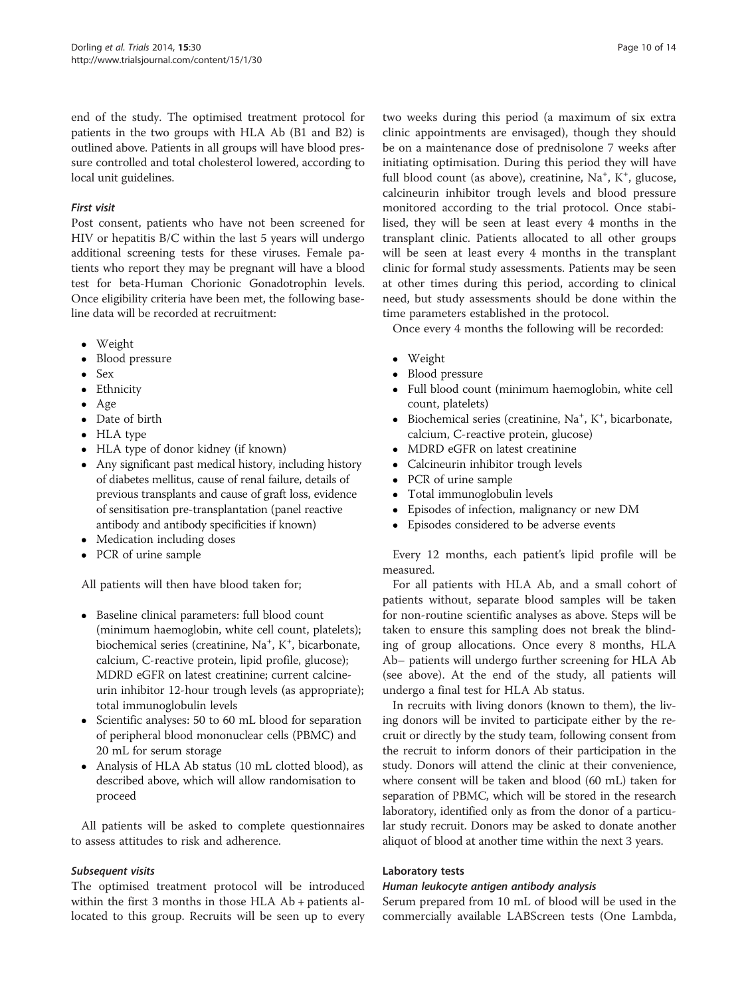end of the study. The optimised treatment protocol for patients in the two groups with HLA Ab (B1 and B2) is outlined above. Patients in all groups will have blood pressure controlled and total cholesterol lowered, according to local unit guidelines.

## First visit

Post consent, patients who have not been screened for HIV or hepatitis B/C within the last 5 years will undergo additional screening tests for these viruses. Female patients who report they may be pregnant will have a blood test for beta-Human Chorionic Gonadotrophin levels. Once eligibility criteria have been met, the following baseline data will be recorded at recruitment:

- Weight
- Blood pressure
- Sex
- Ethnicity
- Age
- Date of birth
- HLA type
- HLA type of donor kidney (if known)
- Any significant past medical history, including history of diabetes mellitus, cause of renal failure, details of previous transplants and cause of graft loss, evidence of sensitisation pre-transplantation (panel reactive antibody and antibody specificities if known)
- Medication including doses
- PCR of urine sample

All patients will then have blood taken for;

- Baseline clinical parameters: full blood count (minimum haemoglobin, white cell count, platelets); biochemical series (creatinine, Na<sup>+</sup>, K<sup>+</sup>, bicarbonate, calcium, C-reactive protein, lipid profile, glucose); MDRD eGFR on latest creatinine; current calcineurin inhibitor 12-hour trough levels (as appropriate); total immunoglobulin levels
- Scientific analyses: 50 to 60 mL blood for separation of peripheral blood mononuclear cells (PBMC) and 20 mL for serum storage
- Analysis of HLA Ab status (10 mL clotted blood), as described above, which will allow randomisation to proceed

All patients will be asked to complete questionnaires to assess attitudes to risk and adherence.

## Subsequent visits

The optimised treatment protocol will be introduced within the first 3 months in those HLA Ab + patients allocated to this group. Recruits will be seen up to every

two weeks during this period (a maximum of six extra clinic appointments are envisaged), though they should be on a maintenance dose of prednisolone 7 weeks after initiating optimisation. During this period they will have full blood count (as above), creatinine, Na<sup>+</sup>, K<sup>+</sup>, glucose, calcineurin inhibitor trough levels and blood pressure monitored according to the trial protocol. Once stabilised, they will be seen at least every 4 months in the transplant clinic. Patients allocated to all other groups will be seen at least every 4 months in the transplant clinic for formal study assessments. Patients may be seen at other times during this period, according to clinical need, but study assessments should be done within the time parameters established in the protocol.

Once every 4 months the following will be recorded:

- Weight
- Blood pressure
- Full blood count (minimum haemoglobin, white cell count, platelets)
- Biochemical series (creatinine,  $Na^+$ ,  $K^+$ , bicarbonate, calcium, C-reactive protein, glucose)
- MDRD eGFR on latest creatinine
- Calcineurin inhibitor trough levels
- PCR of urine sample
- Total immunoglobulin levels<br>• Enisodes of infection, malign
- Episodes of infection, malignancy or new DM
- Episodes considered to be adverse events

Every 12 months, each patient's lipid profile will be measured.

For all patients with HLA Ab, and a small cohort of patients without, separate blood samples will be taken for non-routine scientific analyses as above. Steps will be taken to ensure this sampling does not break the blinding of group allocations. Once every 8 months, HLA Ab– patients will undergo further screening for HLA Ab (see above). At the end of the study, all patients will undergo a final test for HLA Ab status.

In recruits with living donors (known to them), the living donors will be invited to participate either by the recruit or directly by the study team, following consent from the recruit to inform donors of their participation in the study. Donors will attend the clinic at their convenience, where consent will be taken and blood (60 mL) taken for separation of PBMC, which will be stored in the research laboratory, identified only as from the donor of a particular study recruit. Donors may be asked to donate another aliquot of blood at another time within the next 3 years.

## Laboratory tests

#### Human leukocyte antigen antibody analysis

Serum prepared from 10 mL of blood will be used in the commercially available LABScreen tests (One Lambda,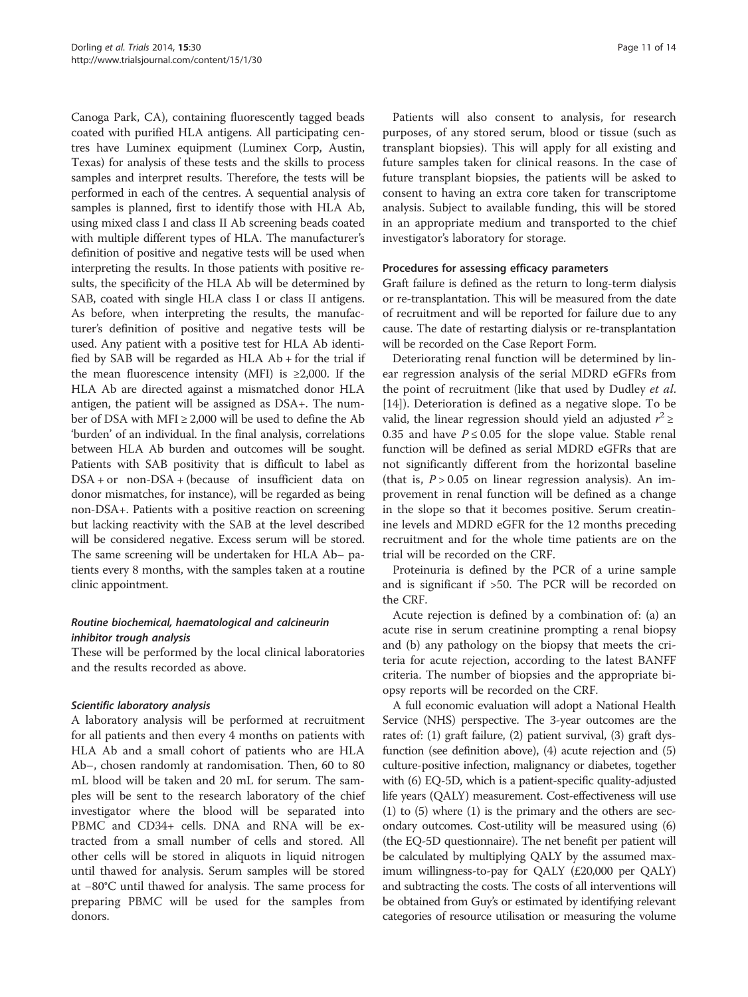Canoga Park, CA), containing fluorescently tagged beads coated with purified HLA antigens. All participating centres have Luminex equipment (Luminex Corp, Austin, Texas) for analysis of these tests and the skills to process samples and interpret results. Therefore, the tests will be performed in each of the centres. A sequential analysis of samples is planned, first to identify those with HLA Ab, using mixed class I and class II Ab screening beads coated with multiple different types of HLA. The manufacturer's definition of positive and negative tests will be used when interpreting the results. In those patients with positive results, the specificity of the HLA Ab will be determined by SAB, coated with single HLA class I or class II antigens. As before, when interpreting the results, the manufacturer's definition of positive and negative tests will be used. Any patient with a positive test for HLA Ab identified by SAB will be regarded as HLA Ab + for the trial if the mean fluorescence intensity (MFI) is  $\geq 2,000$ . If the HLA Ab are directed against a mismatched donor HLA antigen, the patient will be assigned as DSA+. The number of DSA with MFI  $\geq 2,000$  will be used to define the Ab 'burden' of an individual. In the final analysis, correlations between HLA Ab burden and outcomes will be sought. Patients with SAB positivity that is difficult to label as DSA + or non-DSA + (because of insufficient data on donor mismatches, for instance), will be regarded as being non-DSA+. Patients with a positive reaction on screening but lacking reactivity with the SAB at the level described will be considered negative. Excess serum will be stored. The same screening will be undertaken for HLA Ab– patients every 8 months, with the samples taken at a routine clinic appointment.

## Routine biochemical, haematological and calcineurin inhibitor trough analysis

These will be performed by the local clinical laboratories and the results recorded as above.

## Scientific laboratory analysis

A laboratory analysis will be performed at recruitment for all patients and then every 4 months on patients with HLA Ab and a small cohort of patients who are HLA Ab–, chosen randomly at randomisation. Then, 60 to 80 mL blood will be taken and 20 mL for serum. The samples will be sent to the research laboratory of the chief investigator where the blood will be separated into PBMC and CD34+ cells. DNA and RNA will be extracted from a small number of cells and stored. All other cells will be stored in aliquots in liquid nitrogen until thawed for analysis. Serum samples will be stored at −80°C until thawed for analysis. The same process for preparing PBMC will be used for the samples from donors.

Patients will also consent to analysis, for research purposes, of any stored serum, blood or tissue (such as transplant biopsies). This will apply for all existing and future samples taken for clinical reasons. In the case of future transplant biopsies, the patients will be asked to consent to having an extra core taken for transcriptome analysis. Subject to available funding, this will be stored in an appropriate medium and transported to the chief investigator's laboratory for storage.

## Procedures for assessing efficacy parameters

Graft failure is defined as the return to long-term dialysis or re-transplantation. This will be measured from the date of recruitment and will be reported for failure due to any cause. The date of restarting dialysis or re-transplantation will be recorded on the Case Report Form.

Deteriorating renal function will be determined by linear regression analysis of the serial MDRD eGFRs from the point of recruitment (like that used by Dudley et al. [[14\]](#page-13-0)). Deterioration is defined as a negative slope. To be valid, the linear regression should yield an adjusted  $r^2 \geq$ 0.35 and have  $P \le 0.05$  for the slope value. Stable renal function will be defined as serial MDRD eGFRs that are not significantly different from the horizontal baseline (that is,  $P > 0.05$  on linear regression analysis). An improvement in renal function will be defined as a change in the slope so that it becomes positive. Serum creatinine levels and MDRD eGFR for the 12 months preceding recruitment and for the whole time patients are on the trial will be recorded on the CRF.

Proteinuria is defined by the PCR of a urine sample and is significant if >50. The PCR will be recorded on the CRF.

Acute rejection is defined by a combination of: (a) an acute rise in serum creatinine prompting a renal biopsy and (b) any pathology on the biopsy that meets the criteria for acute rejection, according to the latest BANFF criteria. The number of biopsies and the appropriate biopsy reports will be recorded on the CRF.

A full economic evaluation will adopt a National Health Service (NHS) perspective. The 3-year outcomes are the rates of: (1) graft failure, (2) patient survival, (3) graft dysfunction (see definition above), (4) acute rejection and (5) culture-positive infection, malignancy or diabetes, together with (6) EQ-5D, which is a patient-specific quality-adjusted life years (QALY) measurement. Cost-effectiveness will use (1) to (5) where (1) is the primary and the others are secondary outcomes. Cost-utility will be measured using (6) (the EQ-5D questionnaire). The net benefit per patient will be calculated by multiplying QALY by the assumed maximum willingness-to-pay for QALY (£20,000 per QALY) and subtracting the costs. The costs of all interventions will be obtained from Guy's or estimated by identifying relevant categories of resource utilisation or measuring the volume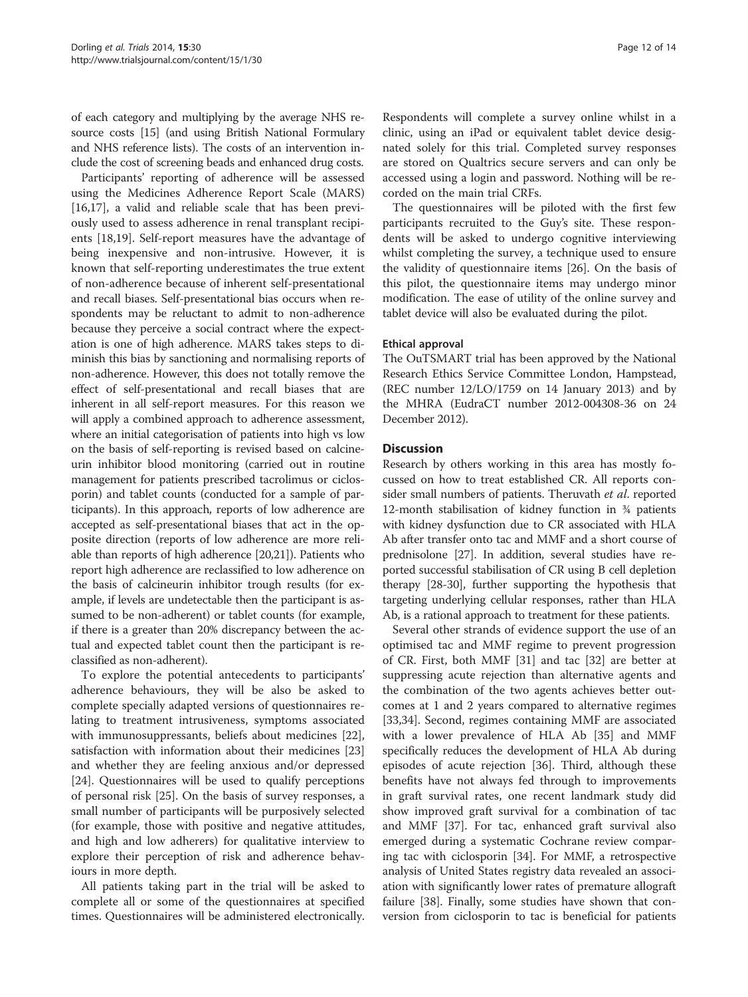of each category and multiplying by the average NHS resource costs [[15](#page-13-0)] (and using British National Formulary and NHS reference lists). The costs of an intervention include the cost of screening beads and enhanced drug costs.

Participants' reporting of adherence will be assessed using the Medicines Adherence Report Scale (MARS) [[16,17\]](#page-13-0), a valid and reliable scale that has been previously used to assess adherence in renal transplant recipients [\[18,19](#page-13-0)]. Self-report measures have the advantage of being inexpensive and non-intrusive. However, it is known that self-reporting underestimates the true extent of non-adherence because of inherent self-presentational and recall biases. Self-presentational bias occurs when respondents may be reluctant to admit to non-adherence because they perceive a social contract where the expectation is one of high adherence. MARS takes steps to diminish this bias by sanctioning and normalising reports of non-adherence. However, this does not totally remove the effect of self-presentational and recall biases that are inherent in all self-report measures. For this reason we will apply a combined approach to adherence assessment, where an initial categorisation of patients into high vs low on the basis of self-reporting is revised based on calcineurin inhibitor blood monitoring (carried out in routine management for patients prescribed tacrolimus or ciclosporin) and tablet counts (conducted for a sample of participants). In this approach, reports of low adherence are accepted as self-presentational biases that act in the opposite direction (reports of low adherence are more reliable than reports of high adherence [\[20,21\]](#page-13-0)). Patients who report high adherence are reclassified to low adherence on the basis of calcineurin inhibitor trough results (for example, if levels are undetectable then the participant is assumed to be non-adherent) or tablet counts (for example, if there is a greater than 20% discrepancy between the actual and expected tablet count then the participant is reclassified as non-adherent).

To explore the potential antecedents to participants' adherence behaviours, they will be also be asked to complete specially adapted versions of questionnaires relating to treatment intrusiveness, symptoms associated with immunosuppressants, beliefs about medicines [\[22](#page-13-0)], satisfaction with information about their medicines [[23](#page-13-0)] and whether they are feeling anxious and/or depressed [[24\]](#page-13-0). Questionnaires will be used to qualify perceptions of personal risk [[25\]](#page-13-0). On the basis of survey responses, a small number of participants will be purposively selected (for example, those with positive and negative attitudes, and high and low adherers) for qualitative interview to explore their perception of risk and adherence behaviours in more depth.

All patients taking part in the trial will be asked to complete all or some of the questionnaires at specified times. Questionnaires will be administered electronically.

Respondents will complete a survey online whilst in a clinic, using an iPad or equivalent tablet device designated solely for this trial. Completed survey responses are stored on Qualtrics secure servers and can only be accessed using a login and password. Nothing will be recorded on the main trial CRFs.

The questionnaires will be piloted with the first few participants recruited to the Guy's site. These respondents will be asked to undergo cognitive interviewing whilst completing the survey, a technique used to ensure the validity of questionnaire items [[26](#page-13-0)]. On the basis of this pilot, the questionnaire items may undergo minor modification. The ease of utility of the online survey and tablet device will also be evaluated during the pilot.

#### Ethical approval

The OuTSMART trial has been approved by the National Research Ethics Service Committee London, Hampstead, (REC number 12/LO/1759 on 14 January 2013) and by the MHRA (EudraCT number 2012-004308-36 on 24 December 2012).

#### **Discussion**

Research by others working in this area has mostly focussed on how to treat established CR. All reports consider small numbers of patients. Theruvath et al. reported 12-month stabilisation of kidney function in ¾ patients with kidney dysfunction due to CR associated with HLA Ab after transfer onto tac and MMF and a short course of prednisolone [[27](#page-13-0)]. In addition, several studies have reported successful stabilisation of CR using B cell depletion therapy [\[28-30\]](#page-13-0), further supporting the hypothesis that targeting underlying cellular responses, rather than HLA Ab, is a rational approach to treatment for these patients.

Several other strands of evidence support the use of an optimised tac and MMF regime to prevent progression of CR. First, both MMF [[31\]](#page-13-0) and tac [\[32](#page-13-0)] are better at suppressing acute rejection than alternative agents and the combination of the two agents achieves better outcomes at 1 and 2 years compared to alternative regimes [[33,34\]](#page-13-0). Second, regimes containing MMF are associated with a lower prevalence of HLA Ab [[35\]](#page-13-0) and MMF specifically reduces the development of HLA Ab during episodes of acute rejection [[36\]](#page-13-0). Third, although these benefits have not always fed through to improvements in graft survival rates, one recent landmark study did show improved graft survival for a combination of tac and MMF [\[37\]](#page-13-0). For tac, enhanced graft survival also emerged during a systematic Cochrane review comparing tac with ciclosporin [[34](#page-13-0)]. For MMF, a retrospective analysis of United States registry data revealed an association with significantly lower rates of premature allograft failure [[38](#page-13-0)]. Finally, some studies have shown that conversion from ciclosporin to tac is beneficial for patients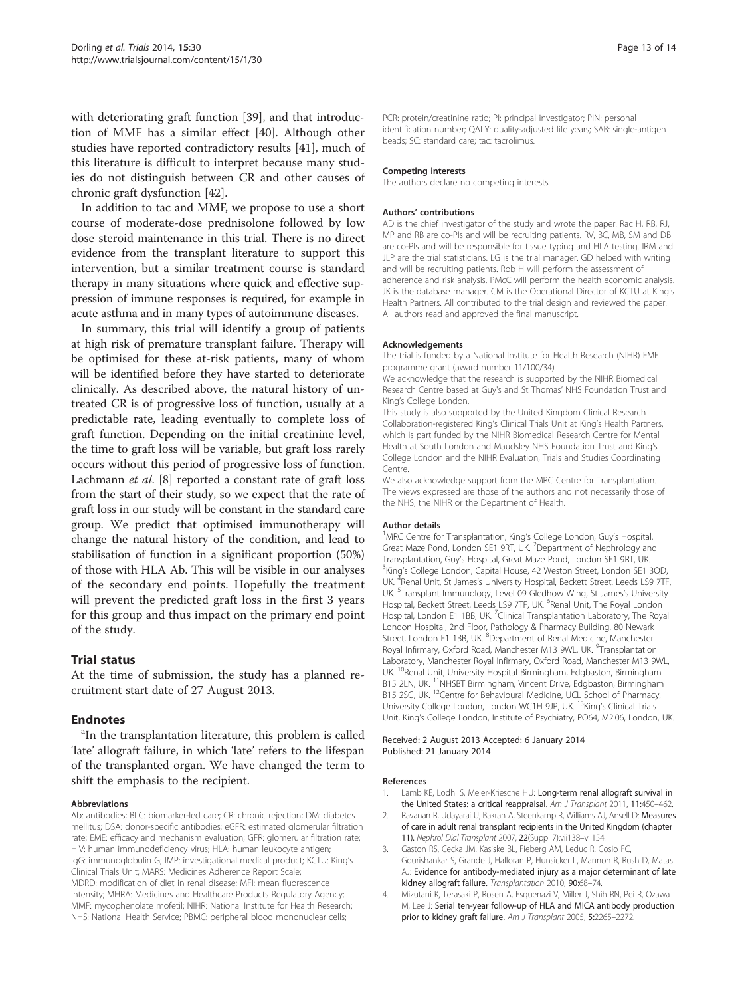<span id="page-12-0"></span>with deteriorating graft function [\[39](#page-13-0)], and that introduction of MMF has a similar effect [\[40](#page-13-0)]. Although other studies have reported contradictory results [\[41\]](#page-13-0), much of this literature is difficult to interpret because many studies do not distinguish between CR and other causes of chronic graft dysfunction [\[42\]](#page-13-0).

In addition to tac and MMF, we propose to use a short course of moderate-dose prednisolone followed by low dose steroid maintenance in this trial. There is no direct evidence from the transplant literature to support this intervention, but a similar treatment course is standard therapy in many situations where quick and effective suppression of immune responses is required, for example in acute asthma and in many types of autoimmune diseases.

In summary, this trial will identify a group of patients at high risk of premature transplant failure. Therapy will be optimised for these at-risk patients, many of whom will be identified before they have started to deteriorate clinically. As described above, the natural history of untreated CR is of progressive loss of function, usually at a predictable rate, leading eventually to complete loss of graft function. Depending on the initial creatinine level, the time to graft loss will be variable, but graft loss rarely occurs without this period of progressive loss of function. Lachmann et al. [[8](#page-13-0)] reported a constant rate of graft loss from the start of their study, so we expect that the rate of graft loss in our study will be constant in the standard care group. We predict that optimised immunotherapy will change the natural history of the condition, and lead to stabilisation of function in a significant proportion (50%) of those with HLA Ab. This will be visible in our analyses of the secondary end points. Hopefully the treatment will prevent the predicted graft loss in the first 3 years for this group and thus impact on the primary end point of the study.

## Trial status

At the time of submission, the study has a planned recruitment start date of 27 August 2013.

#### **Endnotes**

<sup>a</sup>In the transplantation literature, this problem is called 'late' allograft failure, in which 'late' refers to the lifespan of the transplanted organ. We have changed the term to shift the emphasis to the recipient.

#### Abbreviations

Ab: antibodies; BLC: biomarker-led care; CR: chronic rejection; DM: diabetes mellitus; DSA: donor-specific antibodies; eGFR: estimated glomerular filtration rate; EME: efficacy and mechanism evaluation; GFR: glomerular filtration rate; HIV: human immunodeficiency virus; HLA: human leukocyte antigen; IgG: immunoglobulin G; IMP: investigational medical product; KCTU: King's Clinical Trials Unit; MARS: Medicines Adherence Report Scale; MDRD: modification of diet in renal disease; MFI: mean fluorescence intensity; MHRA: Medicines and Healthcare Products Regulatory Agency; MMF: mycophenolate mofetil; NIHR: National Institute for Health Research; NHS: National Health Service; PBMC: peripheral blood mononuclear cells;

PCR: protein/creatinine ratio; PI: principal investigator; PIN: personal identification number; QALY: quality-adjusted life years; SAB: single-antigen beads; SC: standard care; tac: tacrolimus.

#### Competing interests

The authors declare no competing interests.

#### Authors' contributions

AD is the chief investigator of the study and wrote the paper. Rac H, RB, RJ, MP and RB are co-PIs and will be recruiting patients. RV, BC, MB, SM and DB are co-PIs and will be responsible for tissue typing and HLA testing. IRM and JLP are the trial statisticians. LG is the trial manager. GD helped with writing and will be recruiting patients. Rob H will perform the assessment of adherence and risk analysis. PMcC will perform the health economic analysis. JK is the database manager. CM is the Operational Director of KCTU at King's Health Partners. All contributed to the trial design and reviewed the paper. All authors read and approved the final manuscript.

#### Acknowledgements

The trial is funded by a National Institute for Health Research (NIHR) EME programme grant (award number 11/100/34).

We acknowledge that the research is supported by the NIHR Biomedical Research Centre based at Guy's and St Thomas' NHS Foundation Trust and King's College London.

This study is also supported by the United Kingdom Clinical Research Collaboration-registered King's Clinical Trials Unit at King's Health Partners, which is part funded by the NIHR Biomedical Research Centre for Mental Health at South London and Maudsley NHS Foundation Trust and King's College London and the NIHR Evaluation, Trials and Studies Coordinating Centre.

We also acknowledge support from the MRC Centre for Transplantation. The views expressed are those of the authors and not necessarily those of the NHS, the NIHR or the Department of Health.

#### Author details

<sup>1</sup>MRC Centre for Transplantation, King's College London, Guy's Hospital, Great Maze Pond, London SE1 9RT, UK. <sup>2</sup>Department of Nephrology and Transplantation, Guy's Hospital, Great Maze Pond, London SE1 9RT, UK. <sup>3</sup> <sup>3</sup>King's College London, Capital House, 42 Weston Street, London SE1 3QD, UK. <sup>4</sup>Renal Unit, St James's University Hospital, Beckett Street, Leeds LS9 7TF, UK. <sup>5</sup>Transplant Immunology, Level 09 Gledhow Wing, St James's University Hospital, Beckett Street, Leeds LS9 7TF, UK. <sup>6</sup>Renal Unit, The Royal London Hospital, London E1 1BB, UK.<sup>7</sup> Clinical Transplantation Laboratory, The Royal London Hospital, 2nd Floor, Pathology & Pharmacy Building, 80 Newark Street, London E1 1BB, UK. <sup>8</sup>Department of Renal Medicine, Manchester Royal Infirmary, Oxford Road, Manchester M13 9WL, UK. <sup>9</sup>Transplantation Laboratory, Manchester Royal Infirmary, Oxford Road, Manchester M13 9WL, UK. <sup>10</sup>Renal Unit, University Hospital Birmingham, Edgbaston, Birmingham B15 2LN, UK.<sup>11</sup>NHSBT Birmingham, Vincent Drive, Edgbaston, Birmingham B15 2SG, UK. 12Centre for Behavioural Medicine, UCL School of Pharmacy, University College London, London WC1H 9JP, UK. <sup>13</sup>King's Clinical Trials Unit, King's College London, Institute of Psychiatry, PO64, M2.06, London, UK.

#### Received: 2 August 2013 Accepted: 6 January 2014 Published: 21 January 2014

#### References

- Lamb KE, Lodhi S, Meier-Kriesche HU: Long-term renal allograft survival in the United States: a critical reappraisal. Am J Transplant 2011, 11:450-462.
- 2. Ravanan R, Udayaraj U, Bakran A, Steenkamp R, Williams AJ, Ansell D: Measures of care in adult renal transplant recipients in the United Kingdom (chapter 11). Nephrol Dial Transplant 2007, 22(Suppl 7):vii138–vii154.
- 3. Gaston RS, Cecka JM, Kasiske BL, Fieberg AM, Leduc R, Cosio FC, Gourishankar S, Grande J, Halloran P, Hunsicker L, Mannon R, Rush D, Matas AJ: Evidence for antibody-mediated injury as a major determinant of late kidney allograft failure. Transplantation 2010, 90:68–74.
- 4. Mizutani K, Terasaki P, Rosen A, Esquenazi V, Miller J, Shih RN, Pei R, Ozawa M, Lee J: Serial ten-year follow-up of HLA and MICA antibody production prior to kidney graft failure. Am J Transplant 2005, 5:2265-2272.